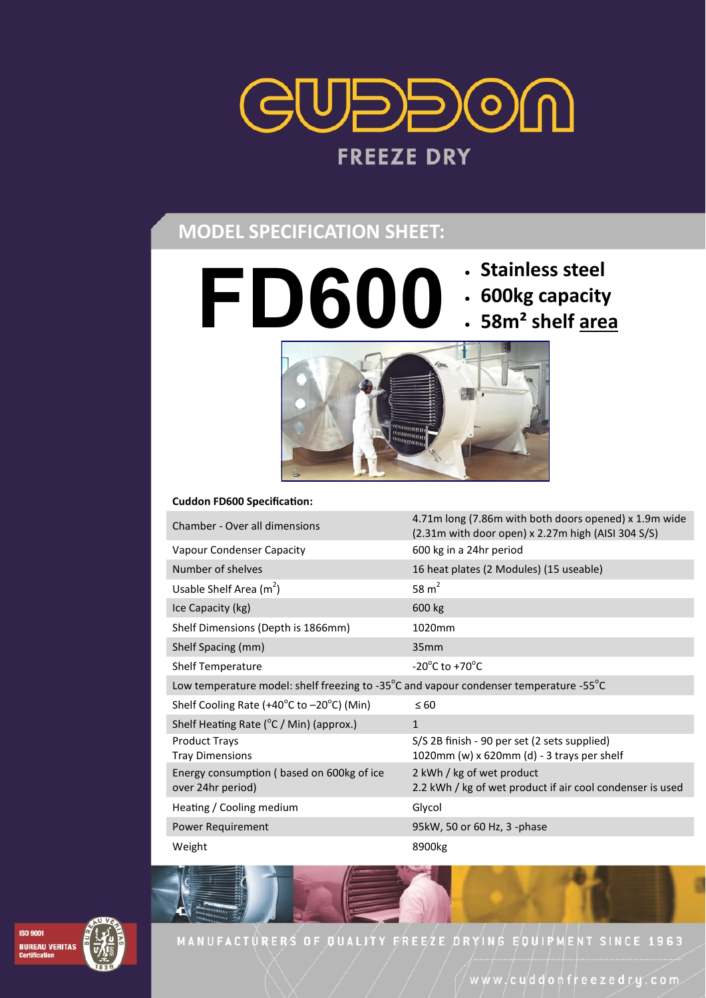

## **MODEL SPECIFICATION SHEET:**

- **FD600 Stainless steel**
	-
	- **600kg capacity**
	- **58m² shelf area**



#### **Cuddon FD600 Specification:**

| Chamber - Over all dimensions                                                         | 4.71m long (7.86m with both doors opened) x 1.9m wide<br>(2.31m with door open) x 2.27m high (AISI 304 S/S) |
|---------------------------------------------------------------------------------------|-------------------------------------------------------------------------------------------------------------|
| Vapour Condenser Capacity                                                             | 600 kg in a 24hr period                                                                                     |
| Number of shelves                                                                     | 16 heat plates (2 Modules) (15 useable)                                                                     |
| Usable Shelf Area $(m^2)$                                                             | 58 $m2$                                                                                                     |
| Ice Capacity (kg)                                                                     | 600 kg                                                                                                      |
| Shelf Dimensions (Depth is 1866mm)                                                    | 1020mm                                                                                                      |
| Shelf Spacing (mm)                                                                    | 35mm                                                                                                        |
| <b>Shelf Temperature</b>                                                              | $-20^{\circ}$ C to $+70^{\circ}$ C                                                                          |
| Low temperature model: shelf freezing to -35°C and vapour condenser temperature -55°C |                                                                                                             |
| Shelf Cooling Rate (+40 $^{\circ}$ C to -20 $^{\circ}$ C) (Min)                       | $\leq 60$                                                                                                   |
| Shelf Heating Rate (°C / Min) (approx.)                                               | $\mathbf{1}$                                                                                                |
| <b>Product Trays</b><br><b>Tray Dimensions</b>                                        | S/S 2B finish - 90 per set (2 sets supplied)<br>1020mm (w) x 620mm (d) - 3 trays per shelf                  |
| Energy consumption (based on 600kg of ice<br>over 24hr period)                        | 2 kWh / kg of wet product<br>2.2 kWh / kg of wet product if air cool condenser is used                      |
| Heating / Cooling medium                                                              | Glycol                                                                                                      |
| Power Requirement                                                                     | 95kW, 50 or 60 Hz, 3 -phase                                                                                 |
| Weight                                                                                | 8900kg                                                                                                      |



MANUFACTURERS OF QUALITY FREEZE DRYING EQUIPMENT SINCE 1963

www/cuddonfreezedry.com